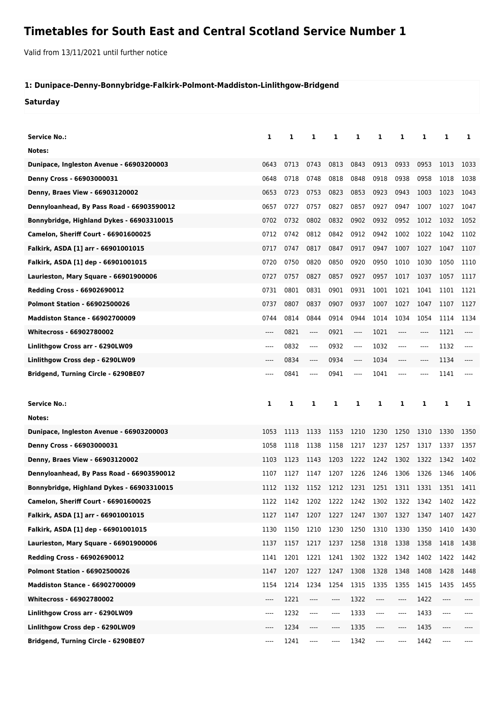## **Timetables for South East and Central Scotland Service Number 1**

Valid from 13/11/2021 until further notice

## **1: Dunipace-Denny-Bonnybridge-Falkirk-Polmont-Maddiston-Linlithgow-Bridgend**

**Saturday**

| <b>Service No.:</b>                         | 1                             | 1    | 1                                  | 1    | 1        | 1       | 1       | 1     | 1    | 1    |
|---------------------------------------------|-------------------------------|------|------------------------------------|------|----------|---------|---------|-------|------|------|
| Notes:                                      |                               |      |                                    |      |          |         |         |       |      |      |
| Dunipace, Ingleston Avenue - 66903200003    | 0643                          | 0713 | 0743                               | 0813 | 0843     | 0913    | 0933    | 0953  | 1013 | 1033 |
| Denny Cross - 66903000031                   | 0648                          | 0718 | 0748                               | 0818 | 0848     | 0918    | 0938    | 0958  | 1018 | 1038 |
| Denny, Braes View - 66903120002             | 0653                          | 0723 | 0753                               | 0823 | 0853     | 0923    | 0943    | 1003  | 1023 | 1043 |
| Dennyloanhead, By Pass Road - 66903590012   | 0657                          | 0727 | 0757                               | 0827 | 0857     | 0927    | 0947    | 1007  | 1027 | 1047 |
| Bonnybridge, Highland Dykes - 66903310015   | 0702                          | 0732 | 0802                               | 0832 | 0902     | 0932    | 0952    | 1012  | 1032 | 1052 |
| <b>Camelon, Sheriff Court - 66901600025</b> | 0712                          | 0742 | 0812                               | 0842 | 0912     | 0942    | 1002    | 1022  | 1042 | 1102 |
| Falkirk, ASDA [1] arr - 66901001015         | 0717                          | 0747 | 0817                               | 0847 | 0917     | 0947    | 1007    | 1027  | 1047 | 1107 |
| Falkirk, ASDA [1] dep - 66901001015         | 0720                          | 0750 | 0820                               | 0850 | 0920     | 0950    | 1010    | 1030  | 1050 | 1110 |
| Laurieston, Mary Square - 66901900006       | 0727                          | 0757 | 0827                               | 0857 | 0927     | 0957    | 1017    | 1037  | 1057 | 1117 |
| <b>Redding Cross - 66902690012</b>          | 0731                          | 0801 | 0831                               | 0901 | 0931     | 1001    | 1021    | 1041  | 1101 | 1121 |
| <b>Polmont Station - 66902500026</b>        | 0737                          | 0807 | 0837                               | 0907 | 0937     | 1007    | 1027    | 1047  | 1107 | 1127 |
| <b>Maddiston Stance - 66902700009</b>       | 0744                          | 0814 | 0844                               | 0914 | 0944     | 1014    | 1034    | 1054  | 1114 | 1134 |
| <b>Whitecross - 66902780002</b>             | $---$                         | 0821 | ----                               | 0921 | $---$    | 1021    | $---$   | $---$ | 1121 | ---- |
| Linlithgow Cross arr - 6290LW09             | ----                          | 0832 | ----                               | 0932 | $---$    | 1032    | ----    | $---$ | 1132 | ---- |
| Linlithgow Cross dep - 6290LW09             | ----                          | 0834 | ----                               | 0934 | $\cdots$ | 1034    | $---$   | $---$ | 1134 | ---- |
| Bridgend, Turning Circle - 6290BE07         | ----                          | 0841 | ----                               | 0941 | $---$    | 1041    | $---$   | $---$ | 1141 | ---- |
|                                             |                               |      |                                    |      |          |         |         |       |      |      |
|                                             |                               |      |                                    |      |          |         |         |       |      |      |
| <b>Service No.:</b>                         | 1                             | 1    | 1                                  | 1    | 1        | 1       | 1       | 1     | 1    | 1    |
| Notes:                                      |                               |      |                                    |      |          |         |         |       |      |      |
| Dunipace, Ingleston Avenue - 66903200003    | 1053                          | 1113 | 1133                               | 1153 | 1210     | 1230    | 1250    | 1310  | 1330 | 1350 |
| Denny Cross - 66903000031                   | 1058                          | 1118 | 1138                               | 1158 | 1217     | 1237    | 1257    | 1317  | 1337 | 1357 |
| Denny, Braes View - 66903120002             | 1103                          | 1123 | 1143                               | 1203 | 1222     | 1242    | 1302    | 1322  | 1342 | 1402 |
| Dennyloanhead, By Pass Road - 66903590012   | 1107                          | 1127 | 1147                               | 1207 | 1226     | 1246    | 1306    | 1326  | 1346 | 1406 |
| Bonnybridge, Highland Dykes - 66903310015   | 1112                          | 1132 | 1152                               | 1212 | 1231     | 1251    | 1311    | 1331  | 1351 | 1411 |
| Camelon, Sheriff Court - 66901600025        | 1122                          | 1142 | 1202 1222 1242 1302 1322 1342 1402 |      |          |         |         |       |      | 1422 |
| Falkirk, ASDA [1] arr - 66901001015         | 1127                          | 1147 | 1207                               | 1227 | 1247     | 1307    | 1327    | 1347  | 1407 | 1427 |
| Falkirk, ASDA [1] dep - 66901001015         | 1130                          | 1150 | 1210                               | 1230 | 1250     | 1310    | 1330    | 1350  | 1410 | 1430 |
| Laurieston, Mary Square - 66901900006       | 1137                          | 1157 | 1217                               | 1237 | 1258     | 1318    | 1338    | 1358  | 1418 | 1438 |
| Redding Cross - 66902690012                 | 1141                          | 1201 | 1221                               | 1241 | 1302     | 1322    | 1342    | 1402  | 1422 | 1442 |
| <b>Polmont Station - 66902500026</b>        | 1147                          | 1207 | 1227                               | 1247 | 1308     | 1328    | 1348    | 1408  | 1428 | 1448 |
| <b>Maddiston Stance - 66902700009</b>       | 1154                          | 1214 | 1234                               | 1254 | 1315     | 1335    | 1355    | 1415  | 1435 | 1455 |
| Whitecross - 66902780002                    | $\hspace{1.5cm} \textbf{---}$ | 1221 | ----                               | ---- | 1322     | $-----$ | ----    | 1422  | ---- | ---- |
| Linlithgow Cross arr - 6290LW09             | ----                          | 1232 | ----                               | ---- | 1333     | ----    | ----    | 1433  | ---- | ---- |
| Linlithgow Cross dep - 6290LW09             | ----                          | 1234 | ----                               | ---- | 1335     | $-----$ | $-----$ | 1435  | ---- |      |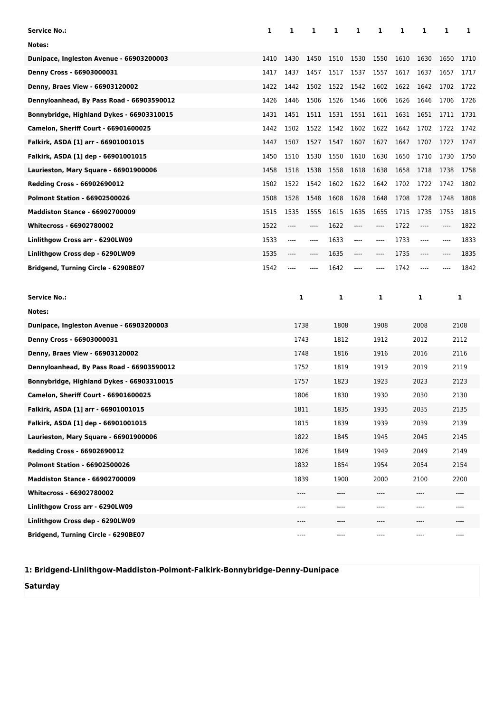| <b>Service No.:</b>                       | 1    | 1    | 1    | 1    | 1    | 1       | 1    | 1     | 1    | 1     |
|-------------------------------------------|------|------|------|------|------|---------|------|-------|------|-------|
| Notes:                                    |      |      |      |      |      |         |      |       |      |       |
| Dunipace, Ingleston Avenue - 66903200003  | 1410 | 1430 | 1450 | 1510 | 1530 | 1550    | 1610 | 1630  | 1650 | 1710  |
| <b>Denny Cross - 66903000031</b>          | 1417 | 1437 | 1457 | 1517 | 1537 | 1557    | 1617 | 1637  | 1657 | 1717  |
| Denny, Braes View - 66903120002           | 1422 | 1442 | 1502 | 1522 | 1542 | 1602    | 1622 | 1642  | 1702 | 1722  |
| Dennyloanhead, By Pass Road - 66903590012 | 1426 | 1446 | 1506 | 1526 | 1546 | 1606    | 1626 | 1646  | 1706 | 1726  |
| Bonnybridge, Highland Dykes - 66903310015 | 1431 | 1451 | 1511 | 1531 | 1551 | 1611    | 1631 | 1651  | 1711 | 1731  |
| Camelon, Sheriff Court - 66901600025      | 1442 | 1502 | 1522 | 1542 | 1602 | 1622    | 1642 | 1702  | 1722 | 1742  |
| Falkirk, ASDA [1] arr - 66901001015       | 1447 | 1507 | 1527 | 1547 | 1607 | 1627    | 1647 | 1707  | 1727 | 1747  |
| Falkirk, ASDA [1] dep - 66901001015       | 1450 | 1510 | 1530 | 1550 | 1610 | 1630    | 1650 | 1710  | 1730 | 1750  |
| Laurieston, Mary Square - 66901900006     | 1458 | 1518 | 1538 | 1558 | 1618 | 1638    | 1658 | 1718  | 1738 | 1758  |
| <b>Redding Cross - 66902690012</b>        | 1502 | 1522 | 1542 | 1602 | 1622 | 1642    | 1702 | 1722  | 1742 | 1802  |
| <b>Polmont Station - 66902500026</b>      | 1508 | 1528 | 1548 | 1608 | 1628 | 1648    | 1708 | 1728  | 1748 | 1808  |
| <b>Maddiston Stance - 66902700009</b>     | 1515 | 1535 | 1555 | 1615 | 1635 | 1655    | 1715 | 1735  | 1755 | 1815  |
| <b>Whitecross - 66902780002</b>           | 1522 | ---- | ---- | 1622 | ---- | $-----$ | 1722 | ----  | ---- | 1822  |
| Linlithgow Cross arr - 6290LW09           | 1533 | ---- | ---- | 1633 | ---- | $---$   | 1733 | $---$ | ---- | 1833  |
| Linlithgow Cross dep - 6290LW09           | 1535 | ---- | ---- | 1635 | ---- | ----    | 1735 | ----  | ---- | 1835  |
| Bridgend, Turning Circle - 6290BE07       | 1542 |      |      | 1642 |      |         | 1742 | ----  |      | 1842  |
|                                           |      |      |      |      |      |         |      |       |      |       |
|                                           |      |      |      |      |      |         |      |       |      |       |
| <b>Service No.:</b>                       |      | 1    |      | 1    |      | 1       |      | 1     |      | 1     |
| Notes:                                    |      |      |      |      |      |         |      |       |      |       |
| Dunipace, Ingleston Avenue - 66903200003  |      | 1738 |      | 1808 |      | 1908    |      | 2008  |      | 2108  |
| <b>Denny Cross - 66903000031</b>          |      | 1743 |      | 1812 |      | 1912    |      | 2012  |      | 2112  |
| Denny, Braes View - 66903120002           |      | 1748 |      | 1816 |      | 1916    |      | 2016  |      | 2116  |
| Dennyloanhead, By Pass Road - 66903590012 |      | 1752 |      | 1819 |      | 1919    |      | 2019  |      | 2119  |
| Bonnybridge, Highland Dykes - 66903310015 |      | 1757 |      | 1823 |      | 1923    |      | 2023  |      | 2123  |
| Camelon, Sheriff Court - 66901600025      |      | 1806 |      | 1830 |      | 1930    |      | 2030  |      | 2130  |
| Falkirk, ASDA [1] arr - 66901001015       |      | 1811 |      | 1835 |      | 1935    |      | 2035  |      | 2135  |
| Falkirk, ASDA [1] dep - 66901001015       |      | 1815 |      | 1839 |      | 1939    |      | 2039  |      | 2139  |
| Laurieston, Mary Square - 66901900006     |      | 1822 |      | 1845 |      | 1945    |      | 2045  |      | 2145  |
| <b>Redding Cross - 66902690012</b>        |      | 1826 |      | 1849 |      | 1949    |      | 2049  |      | 2149  |
| <b>Polmont Station - 66902500026</b>      |      | 1832 |      | 1854 |      | 1954    |      | 2054  |      | 2154  |
| <b>Maddiston Stance - 66902700009</b>     |      | 1839 |      | 1900 |      | 2000    |      | 2100  |      | 2200  |
| Whitecross - 66902780002                  |      | ---- |      | ---- |      | ----    |      | ----  |      | $---$ |
| Linlithgow Cross arr - 6290LW09           |      | ---- |      | ---- |      | ----    |      | ----  |      | ----  |
| Linlithgow Cross dep - 6290LW09           |      | ---- |      | ---- |      | ----    |      | ----  |      | ----  |

**1: Bridgend-Linlithgow-Maddiston-Polmont-Falkirk-Bonnybridge-Denny-Dunipace**

**Saturday**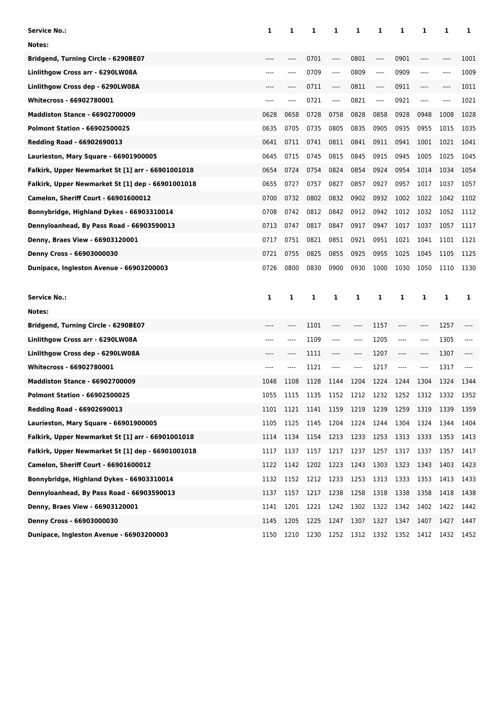| Service No.:                                      | 1     | 1    | 1                        | 1    | 1    | 1    | 1         | 1                             | 1    | 1    |
|---------------------------------------------------|-------|------|--------------------------|------|------|------|-----------|-------------------------------|------|------|
| Notes:                                            |       |      |                          |      |      |      |           |                               |      |      |
| Bridgend, Turning Circle - 6290BE07               |       | ---- | 0701                     | ---- | 0801 | ---- | 0901      | $---$                         | ---- | 1001 |
| Linlithgow Cross arr - 6290LW08A                  | $---$ | ---- | 0709                     | ---- | 0809 | ---- | 0909      | $---$                         | ---- | 1009 |
| Linlithgow Cross dep - 6290LW08A                  | $---$ | ---- | 0711                     | ---- | 0811 | ---- | 0911      | ----                          | ---- | 1011 |
| Whitecross - 66902780001                          | $---$ | ---- | 0721                     | ---- | 0821 | ---- | 0921      | $---$                         | ---- | 1021 |
| <b>Maddiston Stance - 66902700009</b>             | 0628  | 0658 | 0728                     | 0758 | 0828 | 0858 | 0928      | 0948                          | 1008 | 1028 |
| <b>Polmont Station - 66902500025</b>              | 0635  | 0705 | 0735                     | 0805 | 0835 | 0905 | 0935      | 0955                          | 1015 | 1035 |
| Redding Road - 66902690013                        | 0641  | 0711 | 0741                     | 0811 | 0841 | 0911 | 0941      | 1001                          | 1021 | 1041 |
| Laurieston, Mary Square - 66901900005             | 0645  | 0715 | 0745                     | 0815 | 0845 | 0915 | 0945      | 1005                          | 1025 | 1045 |
| Falkirk, Upper Newmarket St [1] arr - 66901001018 | 0654  | 0724 | 0754                     | 0824 | 0854 | 0924 | 0954      | 1014                          | 1034 | 1054 |
| Falkirk, Upper Newmarket St [1] dep - 66901001018 | 0655  | 0727 | 0757                     | 0827 | 0857 | 0927 | 0957      | 1017                          | 1037 | 1057 |
| Camelon, Sheriff Court - 66901600012              | 0700  | 0732 | 0802                     | 0832 | 0902 | 0932 | 1002      | 1022                          | 1042 | 1102 |
| Bonnybridge, Highland Dykes - 66903310014         | 0708  | 0742 | 0812                     | 0842 | 0912 | 0942 | 1012      | 1032                          | 1052 | 1112 |
| Dennyloanhead, By Pass Road - 66903590013         | 0713  | 0747 | 0817                     | 0847 | 0917 | 0947 | 1017      | 1037                          | 1057 | 1117 |
| Denny, Braes View - 66903120001                   | 0717  | 0751 | 0821                     | 0851 | 0921 | 0951 | 1021      | 1041                          | 1101 | 1121 |
| Denny Cross - 66903000030                         | 0721  | 0755 | 0825                     | 0855 | 0925 | 0955 | 1025      | 1045                          | 1105 | 1125 |
| Dunipace, Ingleston Avenue - 66903200003          | 0726  | 0800 | 0830                     | 0900 | 0930 | 1000 | 1030      | 1050                          | 1110 | 1130 |
|                                                   |       |      |                          |      |      |      |           |                               |      |      |
|                                                   |       |      |                          |      |      |      |           |                               |      |      |
| <b>Service No.:</b>                               | 1     | 1    | 1                        | 1    | 1    | 1    | 1         | 1                             | 1    | 1    |
| Notes:                                            |       |      |                          |      |      |      |           |                               |      |      |
| Bridgend, Turning Circle - 6290BE07               | ----  | ---- | 1101                     | ---- | ---- | 1157 | ----      | $\hspace{1.5cm} \textbf{---}$ | 1257 |      |
| Linlithgow Cross arr - 6290LW08A                  | ----  | ---- | 1109                     | ---- | ---- | 1205 | $-----$   | ----                          | 1305 | ---- |
| Linlithgow Cross dep - 6290LW08A                  |       | ---- | 1111                     | ---- | ---- | 1207 | ----      | $-----$                       | 1307 |      |
| Whitecross - 66902780001                          |       | ---- | 1121                     | ---- | ---- | 1217 | $-----$   | $-----$                       | 1317 |      |
| <b>Maddiston Stance - 66902700009</b>             | 1048  | 1108 | 1128                     | 1144 | 1204 | 1224 | 1244      | 1304                          | 1324 | 1344 |
| <b>Polmont Station - 66902500025</b>              | 1055  | 1115 | 1135                     | 1152 | 1212 | 1232 | 1252      | 1312                          | 1332 | 1352 |
| Redding Road - 66902690013                        | 1101  |      | 1121 1141 1159 1219 1239 |      |      |      | 1259 1319 |                               | 1339 | 1359 |
| Laurieston, Mary Square - 66901900005             | 1105  | 1125 | 1145                     | 1204 | 1224 | 1244 | 1304      | 1324                          | 1344 | 1404 |
| Falkirk, Upper Newmarket St [1] arr - 66901001018 | 1114  | 1134 | 1154 1213                |      | 1233 | 1253 | 1313      | 1333                          | 1353 | 1413 |
| Falkirk, Upper Newmarket St [1] dep - 66901001018 | 1117  | 1137 | 1157                     | 1217 | 1237 | 1257 | 1317      | 1337                          | 1357 | 1417 |
| <b>Camelon, Sheriff Court - 66901600012</b>       | 1122  | 1142 | 1202                     | 1223 | 1243 | 1303 | 1323      | 1343                          | 1403 | 1423 |
| Bonnybridge, Highland Dykes - 66903310014         | 1132  | 1152 | 1212                     | 1233 | 1253 | 1313 | 1333      | 1353                          | 1413 | 1433 |
| Dennyloanhead, By Pass Road - 66903590013         | 1137  | 1157 | 1217                     | 1238 | 1258 | 1318 | 1338      | 1358                          | 1418 | 1438 |
| Denny, Braes View - 66903120001                   | 1141  | 1201 | 1221                     | 1242 | 1302 | 1322 | 1342      | 1402                          | 1422 | 1442 |
| Denny Cross - 66903000030                         | 1145  | 1205 | 1225                     | 1247 | 1307 | 1327 | 1347      | 1407                          | 1427 | 1447 |